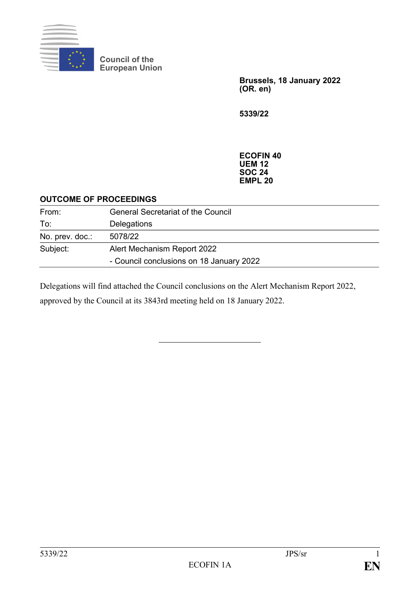

**Council of the European Union**

> **Brussels, 18 January 2022 (OR. en)**

**5339/22**

**ECOFIN 40 UEM 12 SOC 24 EMPL 20**

## **OUTCOME OF PROCEEDINGS**

| From:           | <b>General Secretariat of the Council</b> |
|-----------------|-------------------------------------------|
| To:             | Delegations                               |
| No. prev. doc.: | 5078/22                                   |
| Subject:        | Alert Mechanism Report 2022               |
|                 | - Council conclusions on 18 January 2022  |

Delegations will find attached the Council conclusions on the Alert Mechanism Report 2022,

approved by the Council at its 3843rd meeting held on 18 January 2022.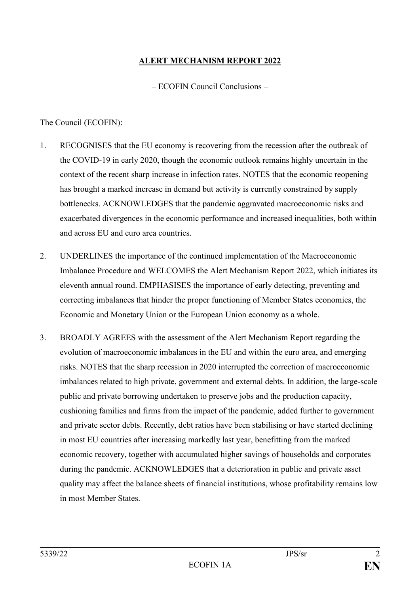## **ALERT MECHANISM REPORT 2022**

– ECOFIN Council Conclusions –

## The Council (ECOFIN):

- 1. RECOGNISES that the EU economy is recovering from the recession after the outbreak of the COVID-19 in early 2020, though the economic outlook remains highly uncertain in the context of the recent sharp increase in infection rates. NOTES that the economic reopening has brought a marked increase in demand but activity is currently constrained by supply bottlenecks. ACKNOWLEDGES that the pandemic aggravated macroeconomic risks and exacerbated divergences in the economic performance and increased inequalities, both within and across EU and euro area countries.
- 2. UNDERLINES the importance of the continued implementation of the Macroeconomic Imbalance Procedure and WELCOMES the Alert Mechanism Report 2022, which initiates its eleventh annual round. EMPHASISES the importance of early detecting, preventing and correcting imbalances that hinder the proper functioning of Member States economies, the Economic and Monetary Union or the European Union economy as a whole.
- 3. BROADLY AGREES with the assessment of the Alert Mechanism Report regarding the evolution of macroeconomic imbalances in the EU and within the euro area, and emerging risks. NOTES that the sharp recession in 2020 interrupted the correction of macroeconomic imbalances related to high private, government and external debts. In addition, the large-scale public and private borrowing undertaken to preserve jobs and the production capacity, cushioning families and firms from the impact of the pandemic, added further to government and private sector debts. Recently, debt ratios have been stabilising or have started declining in most EU countries after increasing markedly last year, benefitting from the marked economic recovery, together with accumulated higher savings of households and corporates during the pandemic. ACKNOWLEDGES that a deterioration in public and private asset quality may affect the balance sheets of financial institutions, whose profitability remains low in most Member States.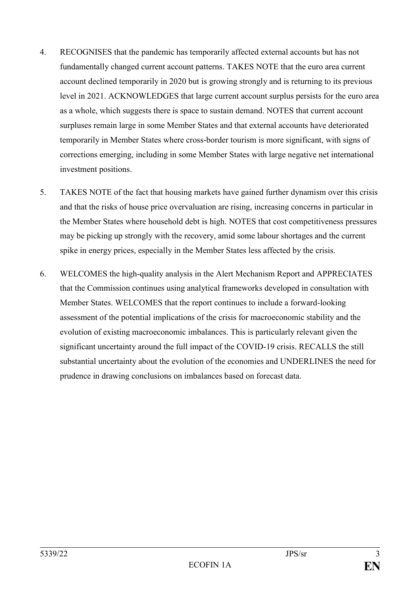- 4. RECOGNISES that the pandemic has temporarily affected external accounts but has not fundamentally changed current account patterns. TAKES NOTE that the euro area current account declined temporarily in 2020 but is growing strongly and is returning to its previous level in 2021. ACKNOWLEDGES that large current account surplus persists for the euro area as a whole, which suggests there is space to sustain demand. NOTES that current account surpluses remain large in some Member States and that external accounts have deteriorated temporarily in Member States where cross-border tourism is more significant, with signs of corrections emerging, including in some Member States with large negative net international investment positions.
- 5. TAKES NOTE of the fact that housing markets have gained further dynamism over this crisis and that the risks of house price overvaluation are rising, increasing concerns in particular in the Member States where household debt is high. NOTES that cost competitiveness pressures may be picking up strongly with the recovery, amid some labour shortages and the current spike in energy prices, especially in the Member States less affected by the crisis.
- 6. WELCOMES the high-quality analysis in the Alert Mechanism Report and APPRECIATES that the Commission continues using analytical frameworks developed in consultation with Member States. WELCOMES that the report continues to include a forward-looking assessment of the potential implications of the crisis for macroeconomic stability and the evolution of existing macroeconomic imbalances. This is particularly relevant given the significant uncertainty around the full impact of the COVID-19 crisis. RECALLS the still substantial uncertainty about the evolution of the economies and UNDERLINES the need for prudence in drawing conclusions on imbalances based on forecast data.